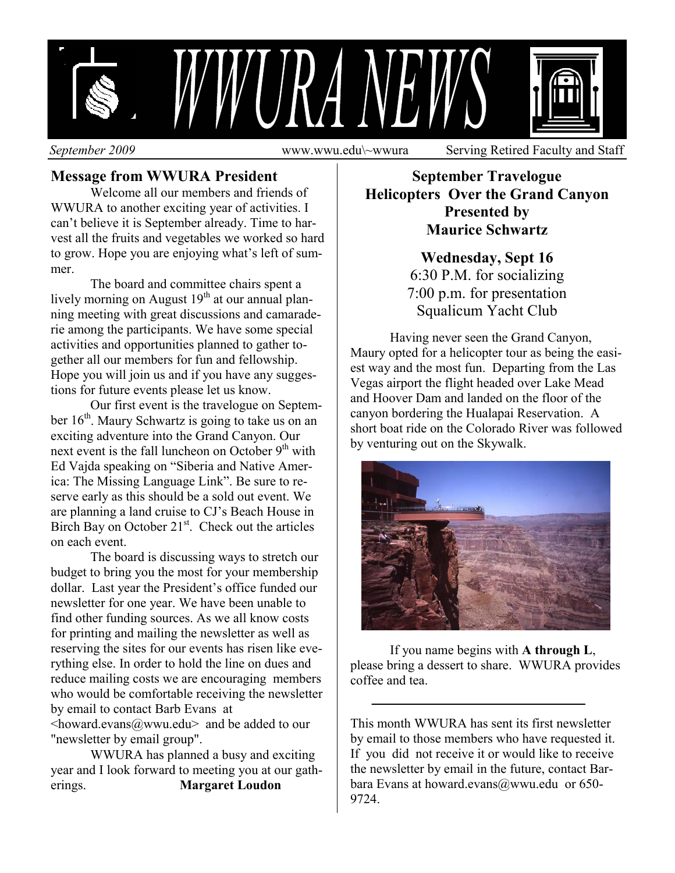

**Message from WWURA President**

 Welcome all our members and friends of WWURA to another exciting year of activities. I can't believe it is September already. Time to harvest all the fruits and vegetables we worked so hard to grow. Hope you are enjoying what's left of summer.

 The board and committee chairs spent a lively morning on August  $19<sup>th</sup>$  at our annual planning meeting with great discussions and camaraderie among the participants. We have some special activities and opportunities planned to gather together all our members for fun and fellowship. Hope you will join us and if you have any suggestions for future events please let us know.

 Our first event is the travelogue on September  $16<sup>th</sup>$ . Maury Schwartz is going to take us on an exciting adventure into the Grand Canyon. Our next event is the fall luncheon on October  $9<sup>th</sup>$  with Ed Vajda speaking on "Siberia and Native America: The Missing Language Link". Be sure to reserve early as this should be a sold out event. We are planning a land cruise to CJ's Beach House in Birch Bay on October  $21<sup>st</sup>$ . Check out the articles on each event.

 The board is discussing ways to stretch our budget to bring you the most for your membership dollar. Last year the President's office funded our newsletter for one year. We have been unable to find other funding sources. As we all know costs for printing and mailing the newsletter as well as reserving the sites for our events has risen like everything else. In order to hold the line on dues and reduce mailing costs we are encouraging members who would be comfortable receiving the newsletter by email to contact Barb Evans at  $\langle$ howard.evans@wwu.edu> and be added to our "newsletter by email group".

 WWURA has planned a busy and exciting year and I look forward to meeting you at our gatherings. **Margaret Loudon**

#### **September Travelogue Helicopters Over the Grand Canyon Presented by Maurice Schwartz**

## **Wednesday, Sept 16**  6:30 P.M. for socializing 7:00 p.m. for presentation Squalicum Yacht Club

 Having never seen the Grand Canyon, Maury opted for a helicopter tour as being the easiest way and the most fun. Departing from the Las Vegas airport the flight headed over Lake Mead and Hoover Dam and landed on the floor of the canyon bordering the Hualapai Reservation. A short boat ride on the Colorado River was followed by venturing out on the Skywalk.



If you name begins with **A through L**, please bring a dessert to share. WWURA provides coffee and tea.

This month WWURA has sent its first newsletter by email to those members who have requested it. If you did not receive it or would like to receive the newsletter by email in the future, contact Barbara Evans at howard.evans@wwu.edu or 650- 9724.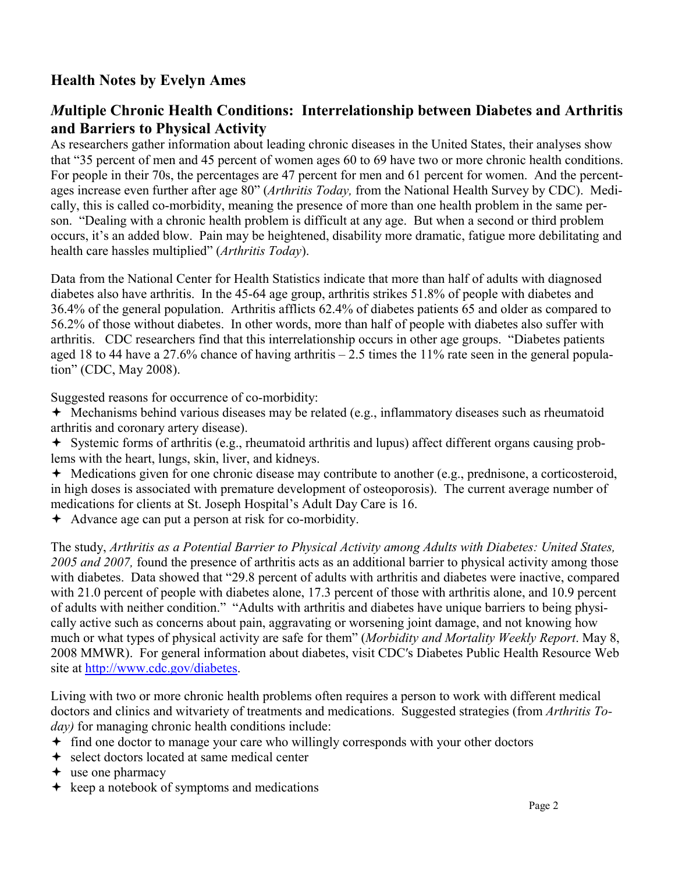# **Health Notes by Evelyn Ames**

### *M***ultiple Chronic Health Conditions: Interrelationship between Diabetes and Arthritis and Barriers to Physical Activity**

As researchers gather information about leading chronic diseases in the United States, their analyses show that "35 percent of men and 45 percent of women ages 60 to 69 have two or more chronic health conditions. For people in their 70s, the percentages are 47 percent for men and 61 percent for women. And the percentages increase even further after age 80" (*Arthritis Today,* from the National Health Survey by CDC). Medically, this is called co-morbidity, meaning the presence of more than one health problem in the same person. "Dealing with a chronic health problem is difficult at any age. But when a second or third problem occurs, it's an added blow. Pain may be heightened, disability more dramatic, fatigue more debilitating and health care hassles multiplied" (*Arthritis Today*).

Data from the National Center for Health Statistics indicate that more than half of adults with diagnosed diabetes also have arthritis. In the 45-64 age group, arthritis strikes 51.8% of people with diabetes and 36.4% of the general population. Arthritis afflicts 62.4% of diabetes patients 65 and older as compared to 56.2% of those without diabetes. In other words, more than half of people with diabetes also suffer with arthritis. CDC researchers find that this interrelationship occurs in other age groups. "Diabetes patients aged 18 to 44 have a 27.6% chance of having arthritis  $-2.5$  times the 11% rate seen in the general population" (CDC, May 2008).

Suggested reasons for occurrence of co-morbidity:

- $\rightarrow$  Mechanisms behind various diseases may be related (e.g., inflammatory diseases such as rheumatoid arthritis and coronary artery disease).
- Systemic forms of arthritis (e.g., rheumatoid arthritis and lupus) affect different organs causing problems with the heart, lungs, skin, liver, and kidneys.
- Medications given for one chronic disease may contribute to another (e.g., prednisone, a corticosteroid, in high doses is associated with premature development of osteoporosis). The current average number of medications for clients at St. Joseph Hospital's Adult Day Care is 16.
- Advance age can put a person at risk for co-morbidity.

The study, *Arthritis as a Potential Barrier to Physical Activity among Adults with Diabetes: United States, 2005 and 2007,* found the presence of arthritis acts as an additional barrier to physical activity among those with diabetes. Data showed that "29.8 percent of adults with arthritis and diabetes were inactive, compared with 21.0 percent of people with diabetes alone, 17.3 percent of those with arthritis alone, and 10.9 percent of adults with neither condition." "Adults with arthritis and diabetes have unique barriers to being physically active such as concerns about pain, aggravating or worsening joint damage, and not knowing how much or what types of physical activity are safe for them" (*Morbidity and Mortality Weekly Report*. May 8, 2008 MMWR). For general information about diabetes, visit CDC′s Diabetes Public Health Resource Web site at http://www.cdc.gov/diabetes.

Living with two or more chronic health problems often requires a person to work with different medical doctors and clinics and witvariety of treatments and medications. Suggested strategies (from *Arthritis Today*) for managing chronic health conditions include:

- find one doctor to manage your care who willingly corresponds with your other doctors
- $\rightarrow$  select doctors located at same medical center
- $\div$  use one pharmacy
- $\rightarrow$  keep a notebook of symptoms and medications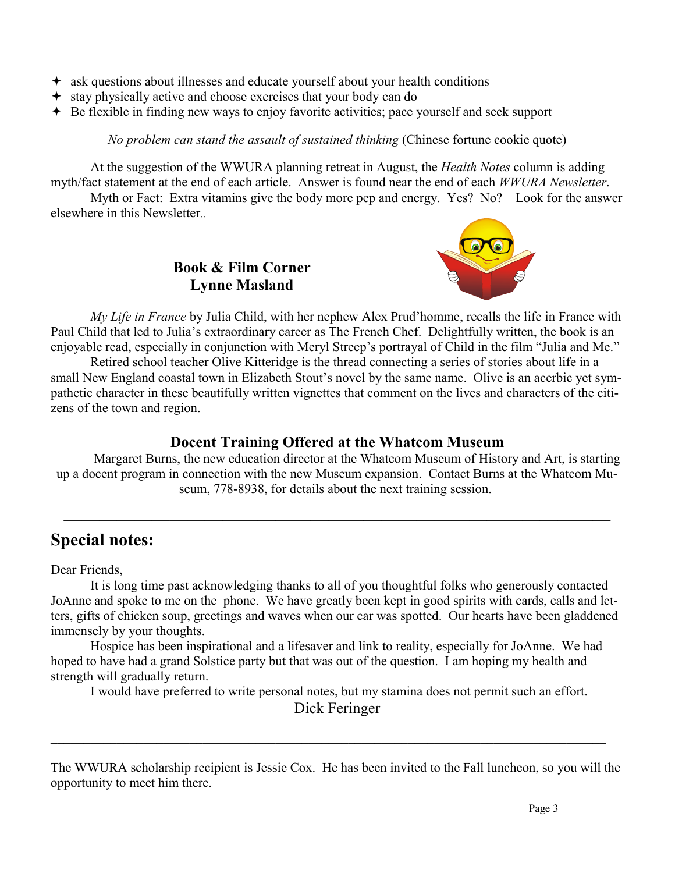- ask questions about illnesses and educate yourself about your health conditions
- stay physically active and choose exercises that your body can do
- $\div$  Be flexible in finding new ways to enjoy favorite activities; pace yourself and seek support

*No problem can stand the assault of sustained thinking (Chinese fortune cookie quote)* 

 At the suggestion of the WWURA planning retreat in August, the *Health Notes* column is adding myth/fact statement at the end of each article. Answer is found near the end of each *WWURA Newsletter*.

 Myth or Fact: Extra vitamins give the body more pep and energy. Yes? No? Look for the answer elsewhere in this Newsletter..



**Book & Film Corner Lynne Masland** 

 *My Life in France* by Julia Child, with her nephew Alex Prud'homme, recalls the life in France with Paul Child that led to Julia's extraordinary career as The French Chef. Delightfully written, the book is an enjoyable read, especially in conjunction with Meryl Streep's portrayal of Child in the film "Julia and Me."

 Retired school teacher Olive Kitteridge is the thread connecting a series of stories about life in a small New England coastal town in Elizabeth Stout's novel by the same name. Olive is an acerbic yet sympathetic character in these beautifully written vignettes that comment on the lives and characters of the citizens of the town and region.

### **Docent Training Offered at the Whatcom Museum**

Margaret Burns, the new education director at the Whatcom Museum of History and Art, is starting up a docent program in connection with the new Museum expansion. Contact Burns at the Whatcom Museum, 778-8938, for details about the next training session.

**———————————————————————————————** 

# **Special notes:**

Dear Friends,

 It is long time past acknowledging thanks to all of you thoughtful folks who generously contacted JoAnne and spoke to me on the phone. We have greatly been kept in good spirits with cards, calls and letters, gifts of chicken soup, greetings and waves when our car was spotted. Our hearts have been gladdened immensely by your thoughts.

 Hospice has been inspirational and a lifesaver and link to reality, especially for JoAnne. We had hoped to have had a grand Solstice party but that was out of the question. I am hoping my health and strength will gradually return.

I would have preferred to write personal notes, but my stamina does not permit such an effort.

Dick Feringer

 $\_$  , and the contribution of the contribution of the contribution of the contribution of  $\mathcal{L}_\text{max}$ 

The WWURA scholarship recipient is Jessie Cox. He has been invited to the Fall luncheon, so you will the opportunity to meet him there.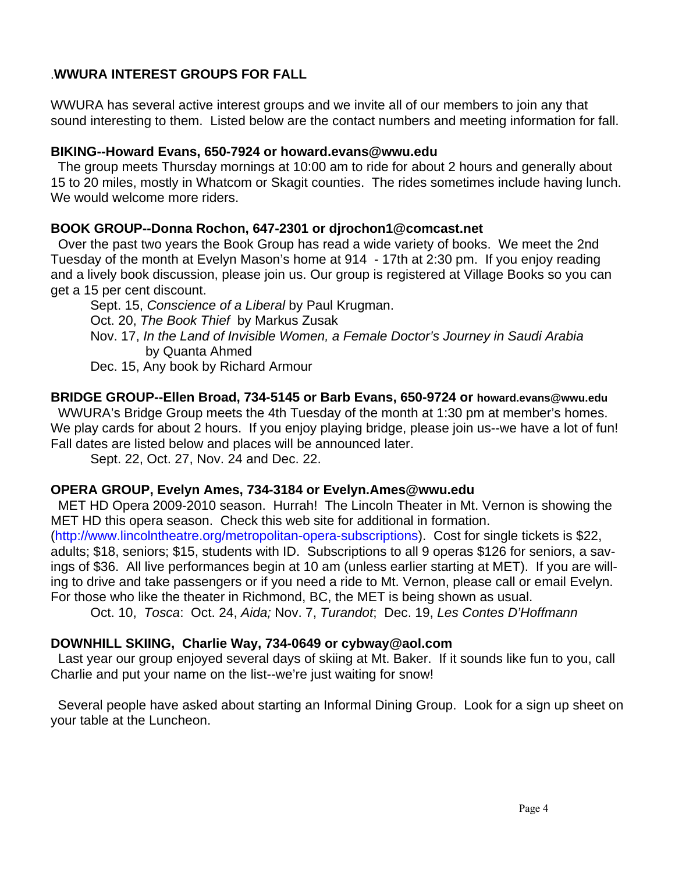#### .**WWURA INTEREST GROUPS FOR FALL**

WWURA has several active interest groups and we invite all of our members to join any that sound interesting to them. Listed below are the contact numbers and meeting information for fall.

#### **BIKING--Howard Evans, 650-7924 or howard.evans@wwu.edu**

 The group meets Thursday mornings at 10:00 am to ride for about 2 hours and generally about 15 to 20 miles, mostly in Whatcom or Skagit counties. The rides sometimes include having lunch. We would welcome more riders.

#### **BOOK GROUP--Donna Rochon, 647-2301 or djrochon1@comcast.net**

Over the past two years the Book Group has read a wide variety of books. We meet the 2nd Tuesday of the month at Evelyn Mason's home at 914 - 17th at 2:30 pm. If you enjoy reading and a lively book discussion, please join us. Our group is registered at Village Books so you can get a 15 per cent discount.

 Sept. 15, *Conscience of a Liberal* by Paul Krugman. Oct. 20, *The Book Thief* by Markus Zusak Nov. 17, *In the Land of Invisible Women, a Female Doctor's Journey in Saudi Arabia*  by Quanta Ahmed Dec. 15, Any book by Richard Armour

#### **BRIDGE GROUP--Ellen Broad, 734-5145 or Barb Evans, 650-9724 or howard.evans@wwu.edu**

WWURA's Bridge Group meets the 4th Tuesday of the month at 1:30 pm at member's homes. We play cards for about 2 hours. If you enjoy playing bridge, please join us--we have a lot of fun! Fall dates are listed below and places will be announced later.

Sept. 22, Oct. 27, Nov. 24 and Dec. 22.

# **OPERA GROUP, Evelyn Ames, 734-3184 or Evelyn.Ames@wwu.edu**

 MET HD Opera 2009-2010 season. Hurrah! The Lincoln Theater in Mt. Vernon is showing the MET HD this opera season. Check this web site for additional in formation.

(http://www.lincolntheatre.org/metropolitan-opera-subscriptions). Cost for single tickets is \$22, adults; \$18, seniors; \$15, students with ID. Subscriptions to all 9 operas \$126 for seniors, a savings of \$36. All live performances begin at 10 am (unless earlier starting at MET). If you are willing to drive and take passengers or if you need a ride to Mt. Vernon, please call or email Evelyn. For those who like the theater in Richmond, BC, the MET is being shown as usual.

Oct. 10, *Tosca*: Oct. 24, *Aida;* Nov. 7, *Turandot*; Dec. 19, *Les Contes D'Hoffmann* 

# **DOWNHILL SKIING, Charlie Way, 734-0649 or cybway@aol.com**

Last year our group enjoyed several days of skiing at Mt. Baker. If it sounds like fun to you, call Charlie and put your name on the list--we're just waiting for snow!

 Several people have asked about starting an Informal Dining Group. Look for a sign up sheet on your table at the Luncheon.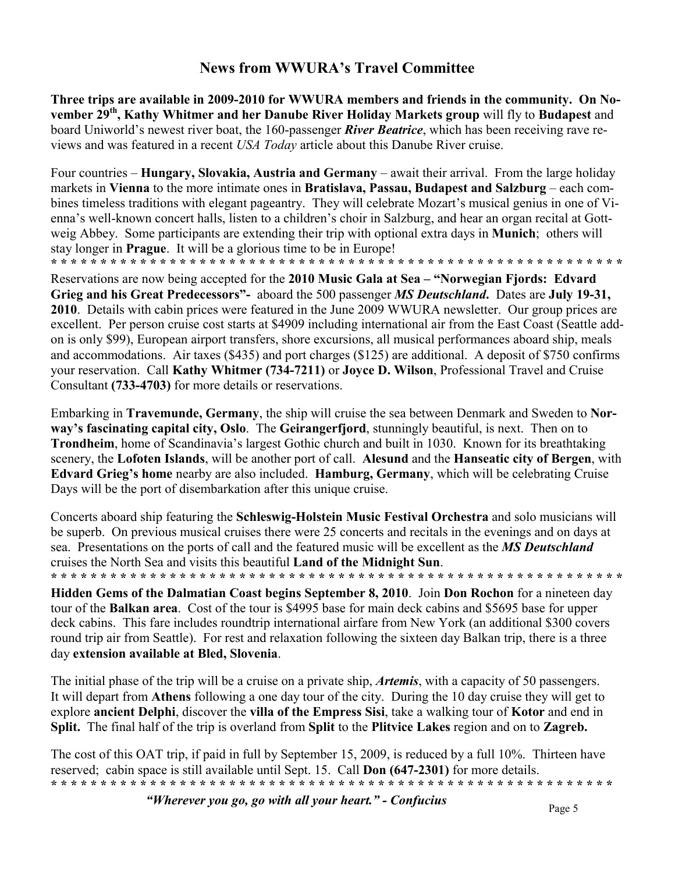### **News from WWURA's Travel Committee**

**Three trips are available in 2009-2010 for WWURA members and friends in the community. On November 29th, Kathy Whitmer and her Danube River Holiday Markets group** will fly to **Budapest** and board Uniworld's newest river boat, the 160-passenger *River Beatrice*, which has been receiving rave reviews and was featured in a recent *USA Today* article about this Danube River cruise.

Four countries – **Hungary, Slovakia, Austria and Germany** – await their arrival. From the large holiday markets in **Vienna** to the more intimate ones in **Bratislava, Passau, Budapest and Salzburg** – each combines timeless traditions with elegant pageantry. They will celebrate Mozart's musical genius in one of Vienna's well-known concert halls, listen to a children's choir in Salzburg, and hear an organ recital at Gottweig Abbey. Some participants are extending their trip with optional extra days in **Munich**; others will stay longer in **Prague**. It will be a glorious time to be in Europe! **\* \* \* \* \* \* \* \* \* \* \* \* \* \* \* \* \* \* \* \* \* \* \* \* \* \* \* \* \* \* \* \* \* \* \* \* \* \* \* \* \* \* \* \* \* \* \* \* \* \* \* \* \* \* \* \* \* \*** 

Reservations are now being accepted for the **2010 Music Gala at Sea – "Norwegian Fjords: Edvard Grieg and his Great Predecessors"-** aboard the 500 passenger *MS Deutschland***.** Dates are **July 19-31, 2010**. Details with cabin prices were featured in the June 2009 WWURA newsletter. Our group prices are excellent. Per person cruise cost starts at \$4909 including international air from the East Coast (Seattle addon is only \$99), European airport transfers, shore excursions, all musical performances aboard ship, meals and accommodations. Air taxes (\$435) and port charges (\$125) are additional. A deposit of \$750 confirms your reservation. Call **Kathy Whitmer (734-7211)** or **Joyce D. Wilson**, Professional Travel and Cruise Consultant **(733-4703)** for more details or reservations.

Embarking in **Travemunde, Germany**, the ship will cruise the sea between Denmark and Sweden to **Norway's fascinating capital city, Oslo**. The **Geirangerfjord**, stunningly beautiful, is next. Then on to **Trondheim**, home of Scandinavia's largest Gothic church and built in 1030. Known for its breathtaking scenery, the **Lofoten Islands**, will be another port of call. **Alesund** and the **Hanseatic city of Bergen**, with **Edvard Grieg's home** nearby are also included. **Hamburg, Germany**, which will be celebrating Cruise Days will be the port of disembarkation after this unique cruise.

Concerts aboard ship featuring the **Schleswig-Holstein Music Festival Orchestra** and solo musicians will be superb. On previous musical cruises there were 25 concerts and recitals in the evenings and on days at sea. Presentations on the ports of call and the featured music will be excellent as the *MS Deutschland* cruises the North Sea and visits this beautiful **Land of the Midnight Sun**. **\* \* \* \* \* \* \* \* \* \* \* \* \* \* \* \* \* \* \* \* \* \* \* \* \* \* \* \* \* \* \* \* \* \* \* \* \* \* \* \* \* \* \* \* \* \* \* \* \* \* \* \* \* \* \* \* \* \*** 

**Hidden Gems of the Dalmatian Coast begins September 8, 2010**. Join **Don Rochon** for a nineteen day tour of the **Balkan area**. Cost of the tour is \$4995 base for main deck cabins and \$5695 base for upper deck cabins. This fare includes roundtrip international airfare from New York (an additional \$300 covers round trip air from Seattle). For rest and relaxation following the sixteen day Balkan trip, there is a three day **extension available at Bled, Slovenia**.

The initial phase of the trip will be a cruise on a private ship, *Artemis*, with a capacity of 50 passengers. It will depart from **Athens** following a one day tour of the city. During the 10 day cruise they will get to explore **ancient Delphi**, discover the **villa of the Empress Sisi**, take a walking tour of **Kotor** and end in **Split.** The final half of the trip is overland from **Split** to the **Plitvice Lakes** region and on to **Zagreb.** 

The cost of this OAT trip, if paid in full by September 15, 2009, is reduced by a full 10%. Thirteen have reserved; cabin space is still available until Sept. 15. Call **Don (647-2301)** for more details. **\* \* \* \* \* \* \* \* \* \* \* \* \* \* \* \* \* \* \* \* \* \* \* \* \* \* \* \* \* \* \* \* \* \* \* \* \* \* \* \* \* \* \* \* \* \* \* \* \* \* \* \* \* \* \* \* \*** 

*"Wherever you go, go with all your heart." - Confucius* Page 5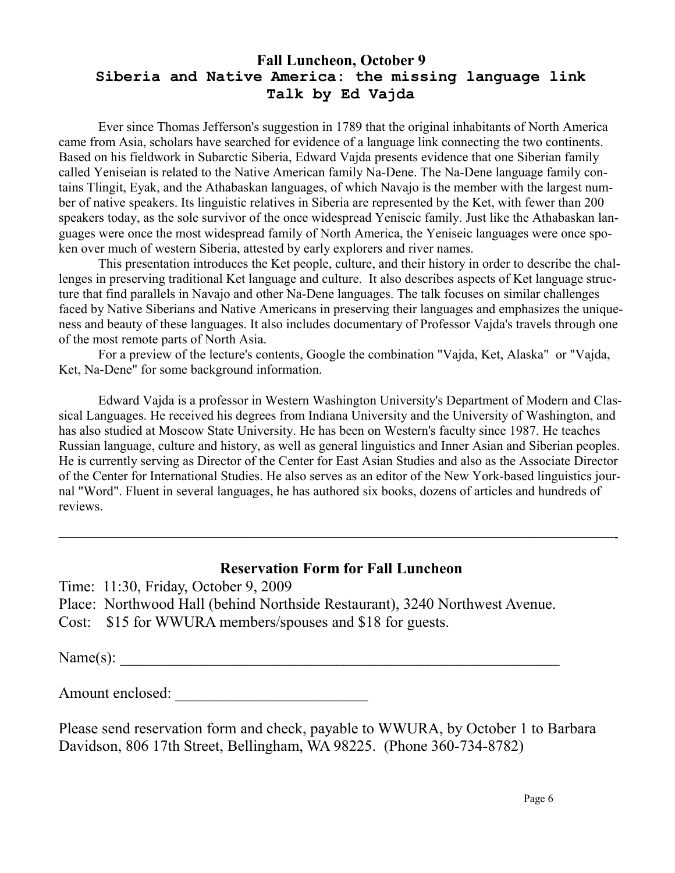### **Fall Luncheon, October 9 Siberia and Native America: the missing language link Talk by Ed Vajda**

 Ever since Thomas Jefferson's suggestion in 1789 that the original inhabitants of North America came from Asia, scholars have searched for evidence of a language link connecting the two continents. Based on his fieldwork in Subarctic Siberia, Edward Vajda presents evidence that one Siberian family called Yeniseian is related to the Native American family Na-Dene. The Na-Dene language family contains Tlingit, Eyak, and the Athabaskan languages, of which Navajo is the member with the largest number of native speakers. Its linguistic relatives in Siberia are represented by the Ket, with fewer than 200 speakers today, as the sole survivor of the once widespread Yeniseic family. Just like the Athabaskan languages were once the most widespread family of North America, the Yeniseic languages were once spoken over much of western Siberia, attested by early explorers and river names.

 This presentation introduces the Ket people, culture, and their history in order to describe the challenges in preserving traditional Ket language and culture. It also describes aspects of Ket language structure that find parallels in Navajo and other Na-Dene languages. The talk focuses on similar challenges faced by Native Siberians and Native Americans in preserving their languages and emphasizes the uniqueness and beauty of these languages. It also includes documentary of Professor Vajda's travels through one of the most remote parts of North Asia.

 For a preview of the lecture's contents, Google the combination "Vajda, Ket, Alaska" or "Vajda, Ket, Na-Dene" for some background information.

 Edward Vajda is a professor in Western Washington University's Department of Modern and Classical Languages. He received his degrees from Indiana University and the University of Washington, and has also studied at Moscow State University. He has been on Western's faculty since 1987. He teaches Russian language, culture and history, as well as general linguistics and Inner Asian and Siberian peoples. He is currently serving as Director of the Center for East Asian Studies and also as the Associate Director of the Center for International Studies. He also serves as an editor of the New York-based linguistics journal "Word". Fluent in several languages, he has authored six books, dozens of articles and hundreds of reviews.

### **Reservation Form for Fall Luncheon**

——————————————————————————————————————————-

Time: 11:30, Friday, October 9, 2009

- Place: Northwood Hall (behind Northside Restaurant), 3240 Northwest Avenue.
- Cost: \$15 for WWURA members/spouses and \$18 for guests.

Name(s): \_\_\_\_\_\_\_\_\_\_\_\_\_\_\_\_\_\_\_\_\_\_\_\_\_\_\_\_\_\_\_\_\_\_\_\_\_\_\_\_\_\_\_\_\_\_\_\_\_\_\_\_\_\_\_\_\_

Amount enclosed:

Please send reservation form and check, payable to WWURA, by October 1 to Barbara Davidson, 806 17th Street, Bellingham, WA 98225. (Phone 360-734-8782)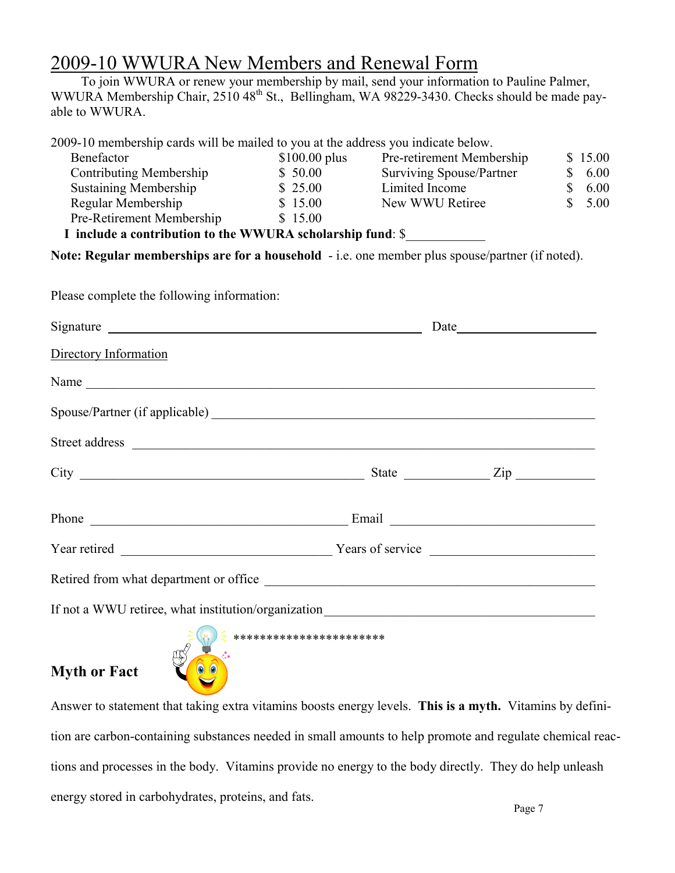# 2009-10 WWURA New Members and Renewal Form

 To join WWURA or renew your membership by mail, send your information to Pauline Palmer, WWURA Membership Chair, 2510 48<sup>th</sup> St., Bellingham, WA 98229-3430. Checks should be made payable to WWURA.

| 2009-10 membership cards will be mailed to you at the address you indicate below.                                                                                                                                              |                                                                                              |                           |                            |
|--------------------------------------------------------------------------------------------------------------------------------------------------------------------------------------------------------------------------------|----------------------------------------------------------------------------------------------|---------------------------|----------------------------|
| Benefactor                                                                                                                                                                                                                     | $$100.00$ plus                                                                               | Pre-retirement Membership | \$15.00                    |
| <b>Contributing Membership</b>                                                                                                                                                                                                 | \$50.00                                                                                      | Surviving Spouse/Partner  | \$<br>6.00                 |
| <b>Sustaining Membership</b>                                                                                                                                                                                                   | \$25.00                                                                                      | Limited Income            | $\mathbb{S}$<br>6.00       |
| Regular Membership                                                                                                                                                                                                             | \$15.00                                                                                      | New WWU Retiree           | $\mathbf{\hat{S}}$<br>5.00 |
| Pre-Retirement Membership \$15.00                                                                                                                                                                                              |                                                                                              |                           |                            |
| I include a contribution to the WWURA scholarship fund: \$                                                                                                                                                                     |                                                                                              |                           |                            |
| Note: Regular memberships are for a household - i.e. one member plus spouse/partner (if noted).                                                                                                                                |                                                                                              |                           |                            |
| Please complete the following information:                                                                                                                                                                                     |                                                                                              |                           |                            |
| Signature Signature Signature and the state of the state of the state of the state of the state of the state of the state of the state of the state of the state of the state of the state of the state of the state of the st |                                                                                              | Date                      |                            |
| Directory Information                                                                                                                                                                                                          |                                                                                              |                           |                            |
|                                                                                                                                                                                                                                |                                                                                              |                           |                            |
|                                                                                                                                                                                                                                |                                                                                              |                           |                            |
|                                                                                                                                                                                                                                |                                                                                              |                           |                            |
|                                                                                                                                                                                                                                |                                                                                              |                           |                            |
|                                                                                                                                                                                                                                |                                                                                              |                           |                            |
|                                                                                                                                                                                                                                |                                                                                              |                           |                            |
| Retired from what department or office                                                                                                                                                                                         |                                                                                              |                           |                            |
|                                                                                                                                                                                                                                |                                                                                              |                           |                            |
|                                                                                                                                                                                                                                | $\mathcal{L}(\mathcal{A})$ and $\mathcal{L}(\mathcal{A})$ are all $\mathcal{L}(\mathcal{A})$ |                           |                            |

# **Myth or Fact**



Answer to statement that taking extra vitamins boosts energy levels. **This is a myth.** Vitamins by definition are carbon-containing substances needed in small amounts to help promote and regulate chemical reactions and processes in the body. Vitamins provide no energy to the body directly. They do help unleash energy stored in carbohydrates, proteins, and fats.